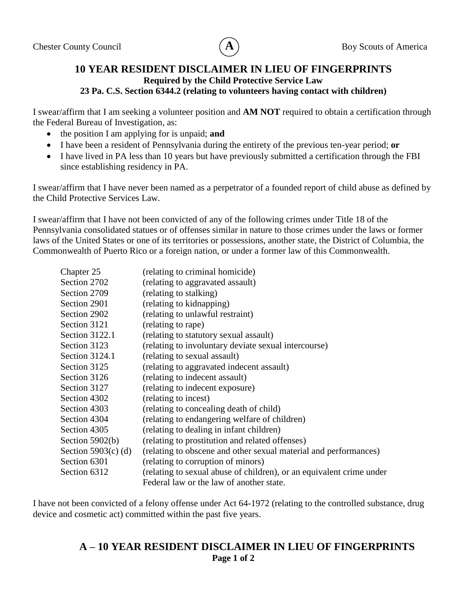

## **10 YEAR RESIDENT DISCLAIMER IN LIEU OF FINGERPRINTS Required by the Child Protective Service Law 23 Pa. C.S. Section 6344.2 (relating to volunteers having contact with children)**

I swear/affirm that I am seeking a volunteer position and **AM NOT** required to obtain a certification through the Federal Bureau of Investigation, as:

- the position I am applying for is unpaid; **and**
- I have been a resident of Pennsylvania during the entirety of the previous ten-year period; **or**
- I have lived in PA less than 10 years but have previously submitted a certification through the FBI since establishing residency in PA.

I swear/affirm that I have never been named as a perpetrator of a founded report of child abuse as defined by the Child Protective Services Law.

I swear/affirm that I have not been convicted of any of the following crimes under Title 18 of the Pennsylvania consolidated statues or of offenses similar in nature to those crimes under the laws or former laws of the United States or one of its territories or possessions, another state, the District of Columbia, the Commonwealth of Puerto Rico or a foreign nation, or under a former law of this Commonwealth.

| Chapter 25            | (relating to criminal homicide)                                      |  |
|-----------------------|----------------------------------------------------------------------|--|
| Section 2702          | (relating to aggravated assault)                                     |  |
| Section 2709          | (relating to stalking)                                               |  |
| Section 2901          | (relating to kidnapping)                                             |  |
| Section 2902          | (relating to unlawful restraint)                                     |  |
| Section 3121          | (relating to rape)                                                   |  |
| Section 3122.1        | (relating to statutory sexual assault)                               |  |
| Section 3123          | (relating to involuntary deviate sexual intercourse)                 |  |
| Section 3124.1        | (relating to sexual assault)                                         |  |
| Section 3125          | (relating to aggravated indecent assault)                            |  |
| Section 3126          | (relating to indecent assault)                                       |  |
| Section 3127          | (relating to indecent exposure)                                      |  |
| Section 4302          | (relating to incest)                                                 |  |
| Section 4303          | (relating to concealing death of child)                              |  |
| Section 4304          | (relating to endangering welfare of children)                        |  |
| Section 4305          | (relating to dealing in infant children)                             |  |
| Section $5902(b)$     | (relating to prostitution and related offenses)                      |  |
| Section $5903(c)$ (d) | (relating to obscene and other sexual material and performances)     |  |
| Section 6301          | (relating to corruption of minors)                                   |  |
| Section 6312          | (relating to sexual abuse of children), or an equivalent crime under |  |
|                       | Federal law or the law of another state.                             |  |

I have not been convicted of a felony offense under Act 64-1972 (relating to the controlled substance, drug device and cosmetic act) committed within the past five years.

## **A – 10 YEAR RESIDENT DISCLAIMER IN LIEU OF FINGERPRINTS Page 1 of 2**